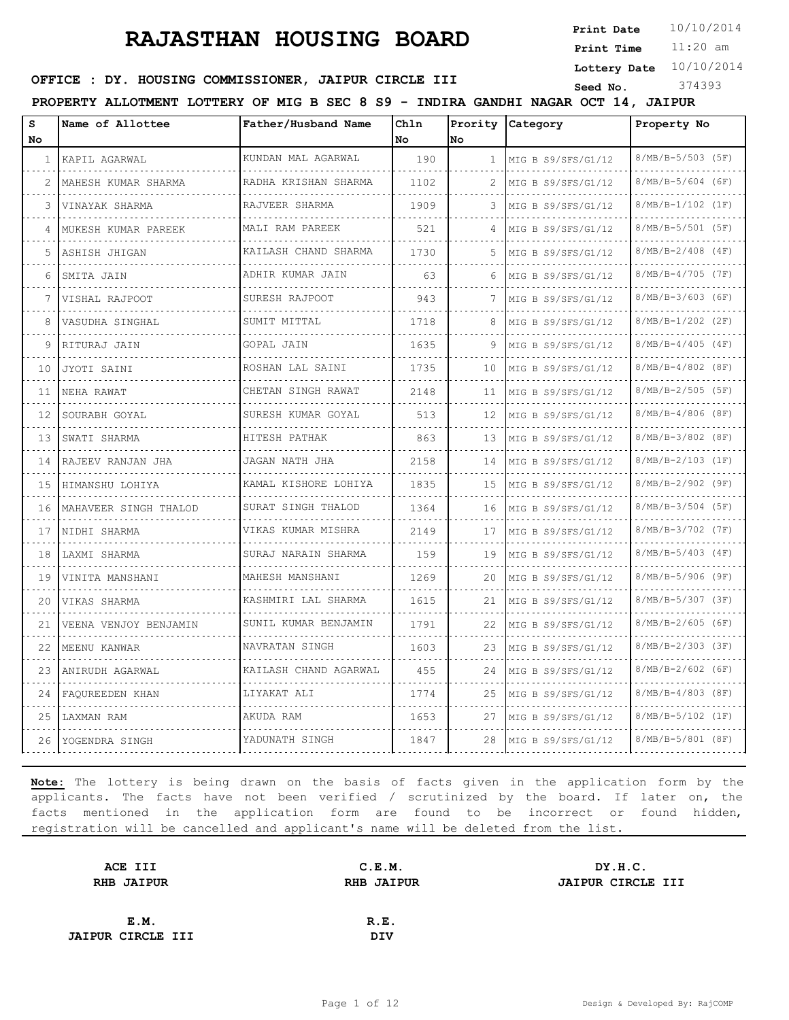**Print Date**  $10/10/2014$ 

11:20 am **Print Time**

**Lottery Date** 10/10/2014

### **OFFICE : DY. HOUSING COMMISSIONER, JAIPUR CIRCLE III** Seed No. 374393

**PROPERTY ALLOTMENT LOTTERY OF MIG B SEC 8 S9 - INDIRA GANDHI NAGAR OCT 14, JAIPUR**

| s<br>No      | Name of Allottee       | Father/Husband Name             | Chln<br>No | No           | Prority Category     | Property No              |
|--------------|------------------------|---------------------------------|------------|--------------|----------------------|--------------------------|
| $\mathbf{1}$ | KAPIL AGARWAL          | KUNDAN MAL AGARWAL              | 190        | $\mathbf{1}$ | MIG B S9/SFS/G1/12   | $8/MB/B-5/503$ (5F)      |
|              | MAHESH KUMAR SHARMA    | RADHA KRISHAN SHARMA            | 1102       | 2            | MIG B S9/SFS/G1/12   | $8/MB/B-5/604$ (6F)      |
| 3            | VINAYAK SHARMA         | RAJVEER SHARMA                  | 1909       | 3            | MIG B S9/SFS/G1/12   | 8/MB/B-1/102 (1F)        |
|              | MUKESH KUMAR PAREEK    | .<br>MALI RAM PAREEK            | 521        | 4            | MIG B S9/SFS/G1/12   | $8/MB/B-5/501$ (5F)      |
| 5            | ASHISH JHIGAN          | KAILASH CHAND SHARMA            | 1730       | 5            | MIG B S9/SFS/G1/12   | $8/MB/B-2/408$ (4F)      |
| 6            | SMITA JAIN             | ADHIR KUMAR JAIN                | 63         | 6            | MIG B S9/SFS/G1/12   | $8/MB/B-4/705$ (7F)      |
|              | VISHAL RAJPOOT         | .<br>SURESH RAJPOOT             | 943        | 7            | MIG B S9/SFS/G1/12   | .<br>$8/MB/B-3/603$ (6F) |
| 8            | VASUDHA SINGHAL        | SUMIT MITTAL                    | 1718       | 8            | MIG B S9/SFS/G1/12   | $8/MB/B-1/202$ (2F)      |
|              | RITURAJ JAIN           | GOPAL JAIN                      | 1635       | 9            | MIG B S9/SFS/G1/12   | $8/MB/B-4/405$ (4F)      |
| 10           | JYOTI SAINI            | ROSHAN LAL SAINI                | 1735       | 10           | MIG B S9/SFS/G1/12   | $8/MB/B-4/802$ (8F)      |
| 11           | NEHA RAWAT             | .<br>CHETAN SINGH RAWAT         | 2148       | 11           | MIG B S9/SFS/G1/12   | 8/MB/B-2/505 (5F)        |
| 12           | SOURABH GOYAL          | SURESH KUMAR GOYAL              | 513        | 12           | MIG B S9/SFS/G1/12   | $8/MB/B-4/806$ (8F)      |
| 13           | SWATI SHARMA           | .<br>HITESH PATHAK              | 863        | 13           | MIG B S9/SFS/G1/12   | 8/MB/B-3/802 (8F)        |
| 14           | .<br>RAJEEV RANJAN JHA | .<br>JAGAN NATH JHA             | 2158       | 14           | MIG B S9/SFS/G1/12   | $8/MB/B-2/103$ (1F)      |
| 15           | HIMANSHU LOHIYA        | KAMAL KISHORE LOHIYA            | 1835       | 15           | MIG B S9/SFS/G1/12   | $8/MB/B-2/902$ (9F)      |
| 16           | MAHAVEER SINGH THALOD  | SURAT SINGH THALOD              | 1364       | 16           | MIG B $S9/SFS/G1/12$ | $8/MB/B-3/504$ (5F)      |
| 17           | NIDHI SHARMA           | VIKAS KUMAR MISHRA              | 2149       | 17           | MIG B S9/SFS/G1/12   | 8/MB/B-3/702 (7F)        |
| 18           | LAXMI SHARMA<br>.      | SURAJ NARAIN SHARMA             | 159        | 19           | MIG B S9/SFS/G1/12   | $8/MB/B-5/403$ (4F)      |
| 19           | VINITA MANSHANI        | MAHESH MANSHANI                 | 1269       | 20           | MIG B S9/SFS/G1/12   | 8/MB/B-5/906 (9F)        |
| 20           | VIKAS SHARMA           | KASHMIRI LAL SHARMA<br><u>.</u> | 1615       | 21           | MIG B S9/SFS/G1/12   | 8/MB/B-5/307 (3F)        |
| 21           | VEENA VENJOY BENJAMIN  | SUNIL KUMAR BENJAMIN            | 1791       | 22           | MIG B S9/SFS/G1/12   | $8/MB/B-2/605$ (6F)      |
| 22           | MEENU KANWAR           | NAVRATAN SINGH                  | 1603       | 23           | MIG B S9/SFS/G1/12   | $8/MB/B-2/303$ (3F)      |
| 23           | ANIRUDH AGARWAL        | KAILASH CHAND AGARWAL           | 455        | 24           | MIG B S9/SFS/G1/12   | $8/MB/B-2/602$ (6F)      |
| 24           | FAQUREEDEN KHAN        | LIYAKAT ALI                     | 1774       | 25           | MIG B S9/SFS/G1/12   | $8/MB/B-4/803$ (8F)      |
| 25           | LAXMAN RAM             | AKUDA RAM                       | 1653       | 27           | MIG B S9/SFS/G1/12   | 8/MB/B-5/102 (1F)        |
| 26           | YOGENDRA SINGH         | YADUNATH SINGH                  | 1847       | 28           | MIG B S9/SFS/G1/12   | $8/MB/B-5/801$ (8F)      |
|              |                        |                                 |            |              |                      |                          |

| ACE III                  | C.E.M.            | DY.H.C.           |
|--------------------------|-------------------|-------------------|
| <b>RHB JAIPUR</b>        | <b>RHB JAIPUR</b> | JAIPUR CIRCLE III |
|                          |                   |                   |
| E.M.                     | R.E.              |                   |
| <b>JAIPUR CIRCLE III</b> | DIV               |                   |
|                          |                   |                   |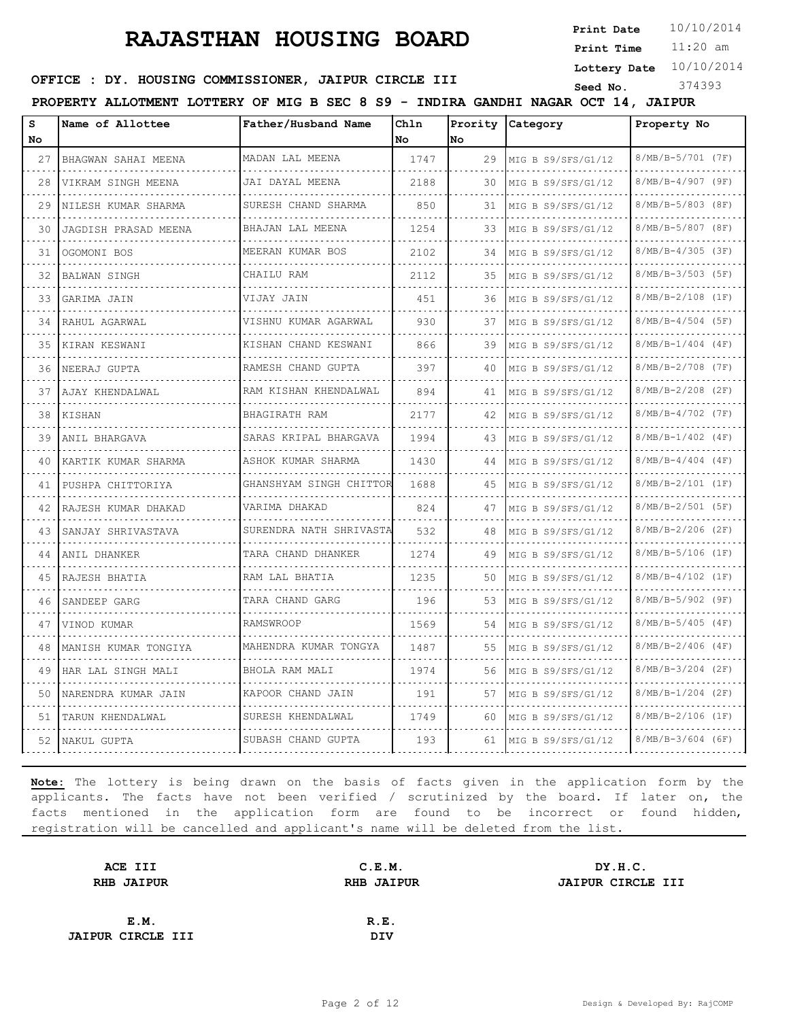**Print Date**  $10/10/2014$ 

11:20 am **Print Time**

**Lottery Date** 10/10/2014

### **OFFICE : DY. HOUSING COMMISSIONER, JAIPUR CIRCLE III** Seed No. 374393

**PROPERTY ALLOTMENT LOTTERY OF MIG B SEC 8 S9 - INDIRA GANDHI NAGAR OCT 14, JAIPUR**

| s   | Name of Allottee       | Father/Husband Name     | Chln |     | Prority Category   | Property No            |
|-----|------------------------|-------------------------|------|-----|--------------------|------------------------|
| No  |                        |                         | No   | No  |                    |                        |
| 27  | BHAGWAN SAHAI MEENA    | MADAN LAL MEENA<br>.    | 1747 | 29  | MIG B S9/SFS/G1/12 | 8/MB/B-5/701 (7F)      |
| 28  | VIKRAM SINGH MEENA     | JAI DAYAL MEENA<br>.    | 2188 | 30  | MIG B S9/SFS/G1/12 | 8/MB/B-4/907 (9F)      |
| 29  | NILESH KUMAR SHARMA    | SURESH CHAND SHARMA     | 850  | 31  | MIG B S9/SFS/G1/12 | 8/MB/B-5/803 (8F)      |
| 30  | JAGDISH PRASAD MEENA   | BHAJAN LAL MEENA<br>.   | 1254 | 33. | MIG B S9/SFS/G1/12 | 8/MB/B-5/807 (8F)      |
| 31  | OGOMONI BOS            | MEERAN KUMAR BOS<br>.   | 2102 | 34  | MIG B S9/SFS/G1/12 | 8/MB/B-4/305 (3F)      |
| 32  | BALWAN SINGH           | CHAILU RAM              | 2112 | 35  | MIG B S9/SFS/G1/12 | 8/MB/B-3/503 (5F)<br>. |
| 33  | GARIMA JAIN            | VIJAY JAIN<br>.         | 451  | 36  | MIG B S9/SFS/G1/12 | 8/MB/B-2/108 (1F)<br>. |
| 34  | RAHUL AGARWAL          | VISHNU KUMAR AGARWAL    | 930  | 37  | MIG B S9/SFS/G1/12 | $8/MB/B-4/504$ (5F)    |
| 35. | KIRAN KESWANI          | KISHAN CHAND KESWANI    | 866  | 39  | MIG B S9/SFS/G1/12 | $8/MB/B-1/404$ (4F)    |
| 36  | NEERAJ GUPTA           | RAMESH CHAND GUPTA<br>. | 397  | 40  | MIG B S9/SFS/G1/12 | 8/MB/B-2/708 (7F)<br>. |
| 37  | AJAY KHENDALWAL        | RAM KISHAN KHENDALWAL   | 894  | 41  | MIG B S9/SFS/G1/12 | $8/MB/B-2/208$ (2F)    |
| 38  | KISHAN                 | BHAGIRATH RAM           | 2177 | 42  | MIG B S9/SFS/G1/12 | 8/MB/B-4/702 (7F)      |
| 39  | ANIL BHARGAVA          | SARAS KRIPAL BHARGAVA   | 1994 | 43  | MIG B S9/SFS/G1/12 | .<br>8/MB/B-1/402 (4F) |
| 40  | KARTIK KUMAR SHARMA    | ASHOK KUMAR SHARMA      | 1430 | 44  | MIG B S9/SFS/G1/12 | $8/MB/B-4/404$ (4F)    |
| 41  | PUSHPA CHITTORIYA<br>. | GHANSHYAM SINGH CHITTOR | 1688 | 45  | MIG B S9/SFS/G1/12 | 8/MB/B-2/101 (1F)<br>. |
| 42  | RAJESH KUMAR DHAKAD    | VARIMA DHAKAD<br>.      | 824  | 47  | MIG B S9/SFS/G1/12 | $8/MB/B-2/501$ (5F)    |
| 43  | SANJAY SHRIVASTAVA     | SURENDRA NATH SHRIVASTA | 532  | 48  | MIG B S9/SFS/G1/12 | $8/MB/B-2/206$ (2F)    |
| 44  | ANIL DHANKER           | TARA CHAND DHANKER      | 1274 | 49  | MIG B S9/SFS/G1/12 | 8/MB/B-5/106 (1F)      |
| 45  | RAJESH BHATIA          | RAM LAL BHATIA          | 1235 | 50  | MIG B S9/SFS/G1/12 | $8/MB/B-4/102$ (1F)    |
| 46  | SANDEEP GARG           | TARA CHAND GARG         | 196  | 53  | MIG B S9/SFS/G1/12 | 8/MB/B-5/902 (9F)      |
| 47  | VINOD KUMAR            | .<br>RAMSWROOP          | 1569 | 54  | MIG B S9/SFS/G1/12 | 8/MB/B-5/405 (4F)      |
| 48  | MANISH KUMAR TONGIYA   | MAHENDRA KUMAR TONGYA   | 1487 | 55  | MIG B S9/SFS/G1/12 | $8/MB/B-2/406$ (4F)    |
| 49  | HAR LAL SINGH MALI     | BHOLA RAM MALI          | 1974 | 56  | MIG B S9/SFS/G1/12 | 8/MB/B-3/204 (2F)      |
| 50  | NARENDRA KUMAR JAIN    | KAPOOR CHAND JAIN<br>.  | 191  | 57  | MIG B S9/SFS/G1/12 | 8/MB/B-1/204 (2F)      |
| 51  | TARUN KHENDALWAL       | SURESH KHENDALWAL       | 1749 | 60  | MIG B S9/SFS/G1/12 | $8/MB/B-2/106$ (1F)    |
|     | 52   NAKUL GUPTA       | SUBASH CHAND GUPTA      | 193  | 61  | MIG B S9/SFS/G1/12 | $8/MB/B-3/604$ (6F)    |

| ACE III                  | C.E.M.            | DY.H.C.           |
|--------------------------|-------------------|-------------------|
| <b>RHB JAIPUR</b>        | <b>RHB JAIPUR</b> | JAIPUR CIRCLE III |
|                          |                   |                   |
| E.M.                     | R.E.              |                   |
| <b>JAIPUR CIRCLE III</b> | DIV               |                   |
|                          |                   |                   |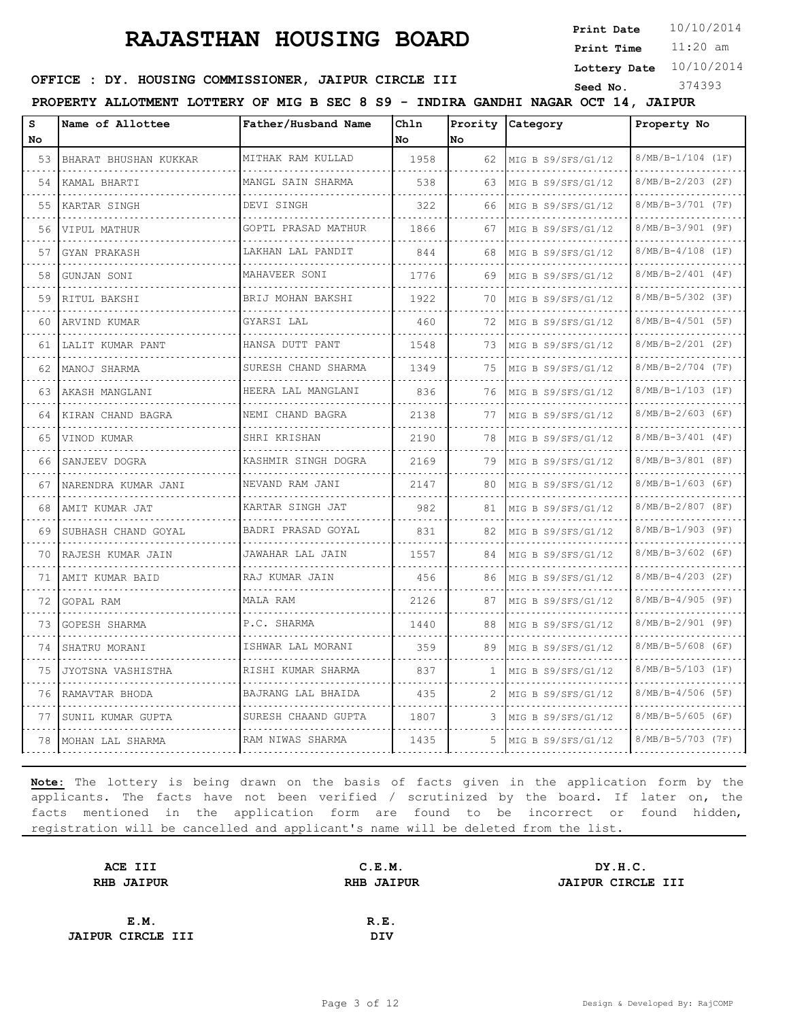**Print Date**  $10/10/2014$ 

11:20 am **Print Time**

**Lottery Date** 10/10/2014

# **OFFICE : DY. HOUSING COMMISSIONER, JAIPUR CIRCLE III** Seed No. 374393

**PROPERTY ALLOTMENT LOTTERY OF MIG B SEC 8 S9 - INDIRA GANDHI NAGAR OCT 14, JAIPUR**

| S<br>No. | Name of Allottee       | Father/Husband Name      | Chln<br>No | No  | Prority Category   | Property No              |
|----------|------------------------|--------------------------|------------|-----|--------------------|--------------------------|
| 53       | BHARAT BHUSHAN KUKKAR  | MITHAK RAM KULLAD        | 1958       | 62  | MIG B S9/SFS/G1/12 | 8/MB/B-1/104 (1F)        |
| 54       | KAMAL BHARTI           | MANGL SAIN SHARMA        | 538        | 63  |                    | 8/MB/B-2/203 (2F)        |
|          |                        | .<br>DEVI SINGH          |            |     | MIG B S9/SFS/G1/12 | 8/MB/B-3/701 (7F)        |
| 55       | KARTAR SINGH           |                          | 322        | 66  | MIG B S9/SFS/G1/12 |                          |
| 56       | VIPUL MATHUR           | GOPTL PRASAD MATHUR      | 1866       | 67  | MIG B S9/SFS/G1/12 | 8/MB/B-3/901 (9F)        |
| 57       | GYAN PRAKASH           | LAKHAN LAL PANDIT        | 844        | 68  | MIG B S9/SFS/G1/12 | 8/MB/B-4/108 (1F)        |
| 58       | GUNJAN SONI            | MAHAVEER SONI<br>.       | 1776       | 69  | MIG B S9/SFS/G1/12 | 8/MB/B-2/401 (4F)<br>.   |
| 59       | RITUL BAKSHI           | BRIJ MOHAN BAKSHI        | 1922       | 70  | MIG B S9/SFS/G1/12 | $8/MB/B-5/302$ (3F)      |
| 60       | ARVIND KUMAR           | GYARSI LAL               | 460        | 72  | MIG B S9/SFS/G1/12 | 8/MB/B-4/501 (5F)        |
| 61       | LALIT KUMAR PANT       | HANSA DUTT PANT          | 1548       | 73  | MIG B S9/SFS/G1/12 | 8/MB/B-2/201 (2F)        |
| 62       | MANOJ SHARMA           | .<br>SURESH CHAND SHARMA | 1349       | 75  | MIG B S9/SFS/G1/12 | $8/MB/B-2/704$ (7F)      |
| 63       | AKASH MANGLANI         | HEERA LAL MANGLANI       | 836        | 76  | MIG B S9/SFS/G1/12 | 8/MB/B-1/103 (1F)        |
| 64       | KIRAN CHAND BAGRA      | .<br>NEMI CHAND BAGRA    | 2138       | 77  | MIG B S9/SFS/G1/12 | 8/MB/B-2/603 (6F)        |
| 65       | VINOD KUMAR            | .<br>SHRI KRISHAN        | 2190       | 78  | MIG B S9/SFS/G1/12 | .<br>$8/MB/B-3/401$ (4F) |
| 66       | SANJEEV DOGRA          | KASHMIR SINGH DOGRA      | 2169       | 79  | MIG B S9/SFS/G1/12 | 8/MB/B-3/801 (8F)        |
| 67       | NARENDRA KUMAR JANI    | .<br>NEVAND RAM JANI     | 2147       | 80  | MIG B S9/SFS/G1/12 | 8/MB/B-1/603 (6F)        |
| 68       | AMIT KUMAR JAT         | .<br>KARTAR SINGH JAT    | 982        | 81  | MIG B S9/SFS/G1/12 | 8/MB/B-2/807 (8F)        |
| 69       | SUBHASH CHAND GOYAL    | BADRI PRASAD GOYAL<br>.  | 831        | 82  | MIG B S9/SFS/G1/12 | 8/MB/B-1/903 (9F)        |
| 70       | .<br>RAJESH KUMAR JAIN | JAWAHAR LAL JAIN         | 1557       | 84  | MIG B S9/SFS/G1/12 | 8/MB/B-3/602 (6F)        |
| 71       | AMIT KUMAR BAID        | .<br>RAJ KUMAR JAIN      | 456        | 86  | MIG B S9/SFS/G1/12 | $8/MB/B-4/203$ (2F)      |
| 72       | GOPAL RAM              | MALA RAM                 | 2126       | 87  | MIG B S9/SFS/G1/12 | 8/MB/B-4/905 (9F)        |
| 73       | GOPESH SHARMA          | P.C. SHARMA              | 1440       | 88  | MIG B S9/SFS/G1/12 | 8/MB/B-2/901 (9F)        |
| 74       | SHATRU MORANI          | ISHWAR LAL MORANI        | 359        | 89  | MIG B S9/SFS/G1/12 | $8/MB/B-5/608$ (6F)      |
| 75       | JYOTSNA VASHISTHA      | RISHI KUMAR SHARMA       | 837        | -1  | MIG B S9/SFS/G1/12 | 8/MB/B-5/103 (1F)        |
| 76       | RAMAVTAR BHODA         | BAJRANG LAL BHAIDA       | 435        | 2   | MIG B S9/SFS/G1/12 | 8/MB/B-4/506 (5F)        |
| 77       | SUNIL KUMAR GUPTA      | .<br>SURESH CHAAND GUPTA | 1807       | 3   | MIG B S9/SFS/G1/12 | $8/MB/B-5/605$ (6F)      |
|          | 78   MOHAN LAL SHARMA  | RAM NIWAS SHARMA         | 1435       | .5. | MIG B S9/SFS/G1/12 | 8/MB/B-5/703 (7F)        |

| ACE III                  | C.E.M.            | DY.H.C.                  |
|--------------------------|-------------------|--------------------------|
| <b>RHB JAIPUR</b>        | <b>RHB JAIPUR</b> | <b>JAIPUR CIRCLE III</b> |
|                          |                   |                          |
| E.M.                     | R.E.              |                          |
| <b>JAIPUR CIRCLE III</b> | <b>DIV</b>        |                          |
|                          |                   |                          |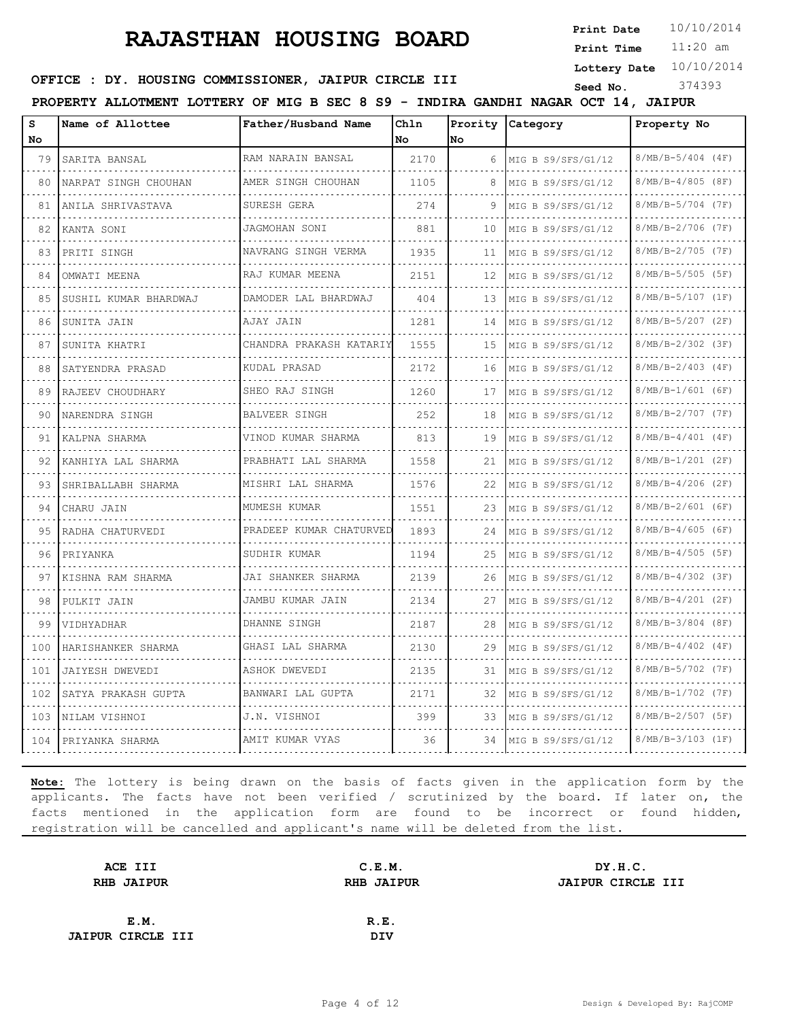**Print Date**  $10/10/2014$ 

11:20 am **Print Time**

**Lottery Date** 10/10/2014

#### **SEED AND SEED III SEED ASSESSED ASSESSED AT A SEED ASSESSED ASSESSED ASSESSED ASSESSED AT A STATE SEED ASSESSED ASSESSED ASSESSED ASSESSED ASSESSED ASSESSED ASSESSED ASSESSED ASSESSED ASSESSED ASSESSED ASSESSED ASSESSED A**

**PROPERTY ALLOTMENT LOTTERY OF MIG B SEC 8 S9 - INDIRA GANDHI NAGAR OCT 14, JAIPUR**

| s        | Name of Allottee       | Father/Husband Name             | Chln |    | Prority Category   | Property No              |
|----------|------------------------|---------------------------------|------|----|--------------------|--------------------------|
| No<br>79 |                        | RAM NARAIN BANSAL               | No   | No |                    | $8/MB/B-5/404$ (4F)      |
|          | SARITA BANSAL          |                                 | 2170 | 6  | MIG B S9/SFS/G1/12 |                          |
| 80       | NARPAT SINGH CHOUHAN   | AMER SINGH CHOUHAN<br>.         | 1105 | 8  | MIG B S9/SFS/G1/12 | 8/MB/B-4/805 (8F)<br>.   |
| 81       | ANILA SHRIVASTAVA      | SURESH GERA                     | 274  | 9  | MIG B S9/SFS/G1/12 | 8/MB/B-5/704 (7F)        |
| 82       | KANTA SONI             | JAGMOHAN SONI                   | 881  | 10 | MIG B S9/SFS/G1/12 | 8/MB/B-2/706 (7F)        |
| 83       | PRITI SINGH            | NAVRANG SINGH VERMA<br><u>.</u> | 1935 | 11 | MIG B S9/SFS/G1/12 | 8/MB/B-2/705 (7F)<br>.   |
| 84       | OMWATI MEENA           | RAJ KUMAR MEENA<br>.            | 2151 | 12 | MIG B S9/SFS/G1/12 | $8/MB/B-5/505$ (5F)      |
| 85       | SUSHIL KUMAR BHARDWAJ  | DAMODER LAL BHARDWAJ            | 404  | 13 | MIG B S9/SFS/G1/12 | 8/MB/B-5/107 (1F)        |
| 86       | SUNITA JAIN            | AJAY JAIN                       | 1281 | 14 | MIG B S9/SFS/G1/12 | 8/MB/B-5/207 (2F)        |
| 87       | SUNITA KHATRI          | CHANDRA PRAKASH KATARIY         | 1555 | 15 | MIG B S9/SFS/G1/12 | 8/MB/B-2/302 (3F)        |
| 88       | SATYENDRA PRASAD       | KUDAL PRASAD                    | 2172 | 16 | MIG B S9/SFS/G1/12 | .<br>8/MB/B-2/403 (4F)   |
| 89       | RAJEEV CHOUDHARY       | SHEO RAJ SINGH<br>.             | 1260 | 17 | MIG B S9/SFS/G1/12 | 8/MB/B-1/601 (6F)        |
| 90.      | NARENDRA SINGH         | BALVEER SINGH                   | 252  | 18 | MIG B S9/SFS/G1/12 | 8/MB/B-2/707 (7F)        |
| 91       | KALPNA SHARMA          | VINOD KUMAR SHARMA              | 813  | 19 | MIG B S9/SFS/G1/12 | 8/MB/B-4/401 (4F)        |
| 92       | KANHIYA LAL SHARMA     | PRABHATI LAL SHARMA             | 1558 | 21 | MIG B S9/SFS/G1/12 | 8/MB/B-1/201 (2F)        |
| 93.      | SHRIBALLABH SHARMA     | MISHRI LAL SHARMA               | 1576 | 22 | MIG B S9/SFS/G1/12 | $8/MB/B-4/206$ (2F)<br>. |
| 94       | CHARU JAIN             | MUMESH KUMAR                    | 1551 | 23 | MIG B S9/SFS/G1/12 | 8/MB/B-2/601 (6F)        |
| 95       | RADHA CHATURVEDI       | PRADEEP KUMAR CHATURVED         | 1893 | 24 | MIG B S9/SFS/G1/12 | 8/MB/B-4/605 (6F)        |
| 96       | PRIYANKA               | SUDHIR KUMAR                    | 1194 | 25 | MIG B S9/SFS/G1/12 | 8/MB/B-4/505 (5F)        |
| 97       | .<br>KISHNA RAM SHARMA | JAI SHANKER SHARMA              | 2139 | 26 | MIG B S9/SFS/G1/12 | 8/MB/B-4/302 (3F)        |
| 98       | PULKIT JAIN            | .<br>JAMBU KUMAR JAIN           | 2134 | 27 | MIG B S9/SFS/G1/12 | $8/MB/B-4/201$ (2F)      |
| 99       | VIDHYADHAR             | DHANNE SINGH                    | 2187 | 28 | MIG B S9/SFS/G1/12 | 8/MB/B-3/804 (8F)        |
| 100      | HARISHANKER SHARMA     | .<br>GHASI LAL SHARMA           | 2130 | 29 | MIG B S9/SFS/G1/12 | 8/MB/B-4/402 (4F)        |
| 101      | JAIYESH DWEVEDI        | ASHOK DWEVEDI                   | 2135 | 31 | MIG B S9/SFS/G1/12 | 8/MB/B-5/702 (7F)        |
| 102      | SATYA PRAKASH GUPTA    | BANWARI LAL GUPTA               | 2171 | 32 | MIG B S9/SFS/G1/12 | 8/MB/B-1/702 (7F)        |
| 103      | NILAM VISHNOI          | J.N. VISHNOI                    | 399  | 33 | MIG B S9/SFS/G1/12 | 8/MB/B-2/507 (5F)        |
| 104      | PRIYANKA SHARMA        | AMIT KUMAR VYAS                 | 36   | 34 | MIG B S9/SFS/G1/12 | 8/MB/B-3/103 (1F)        |

| ACE III                  | C.E.M.            | DY.H.C.                  |
|--------------------------|-------------------|--------------------------|
| <b>RHB JAIPUR</b>        | <b>RHB JAIPUR</b> | <b>JAIPUR CIRCLE III</b> |
|                          |                   |                          |
| E.M.                     | R.E.              |                          |
| <b>JAIPUR CIRCLE III</b> | <b>DIV</b>        |                          |
|                          |                   |                          |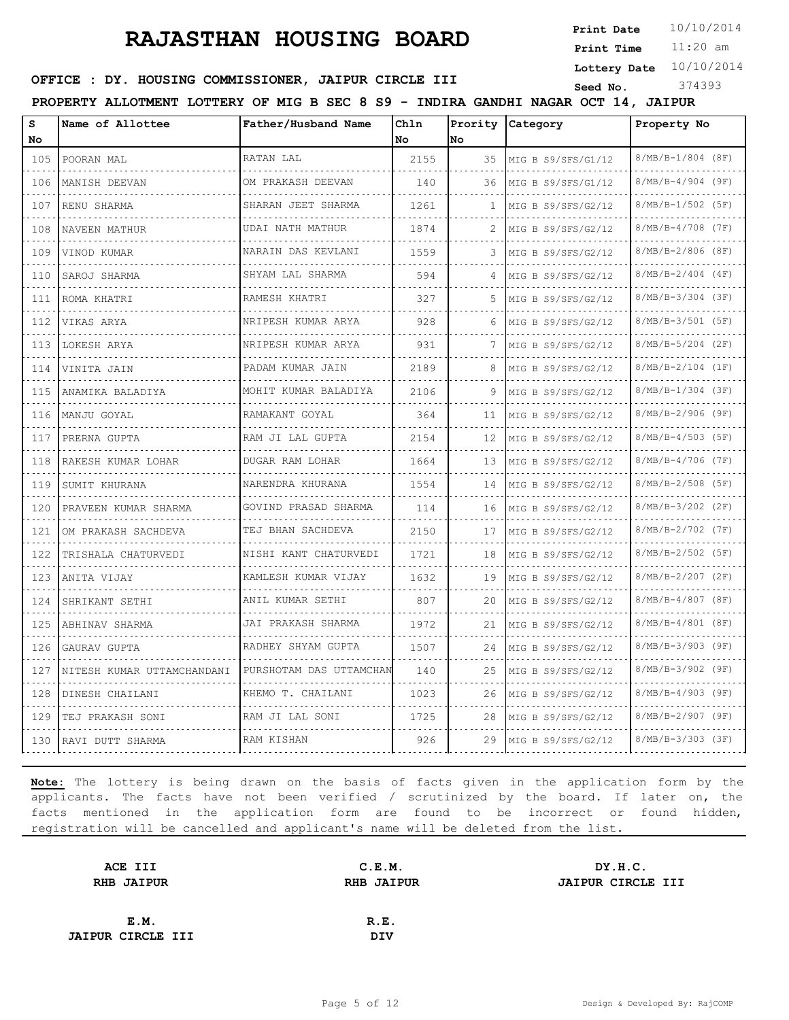**Print Date**  $10/10/2014$ 

11:20 am **Print Time**

**Lottery Date** 10/10/2014

# **OFFICE : DY. HOUSING COMMISSIONER, JAIPUR CIRCLE III** Seed No. 374393

**PROPERTY ALLOTMENT LOTTERY OF MIG B SEC 8 S9 - INDIRA GANDHI NAGAR OCT 14, JAIPUR**

| s                | Name of Allottee           | Father/Husband Name          | Chln |     | Prority Category     | Property No              |
|------------------|----------------------------|------------------------------|------|-----|----------------------|--------------------------|
| No               |                            |                              | No   | lΝo |                      |                          |
| 105              | POORAN MAL                 | RATAN LAL                    | 2155 | 35  | MIG B S9/SFS/G1/12   | $8/MB/B-1/804$ (8F)      |
| 106<br>.         | MANISH DEEVAN              | OM PRAKASH DEEVAN            | 140  | 36  | MIG B S9/SFS/G1/12   | $8/MB/B-4/904$ (9F)      |
| 107<br>.         | RENU SHARMA                | SHARAN JEET SHARMA<br>.      | 1261 | -1. | MIG B S9/SFS/G2/12   | $8/MB/B-1/502$ (5F)      |
| 108              | NAVEEN MATHUR              | UDAI NATH MATHUR<br>.        | 1874 | 2   | MIG B S9/SFS/G2/12   | $8/MB/B-4/708$ (7F)      |
| 109<br>.         | VINOD KUMAR                | NARAIN DAS KEVLANI           | 1559 | 3   | MIG B S9/SFS/G2/12   | $8/MB/B-2/806$ (8F)      |
| 110              | SAROJ SHARMA               | SHYAM LAL SHARMA<br><u>.</u> | 594  | 4   | MIG B $S9/SFS/G2/12$ | $8/MB/B-2/404$ (4F)      |
| 111              | ROMA KHATRI                | RAMESH KHATRI<br>.           | 327  | 5   | MIG B S9/SFS/G2/12   | $8/MB/B-3/304$ (3F)      |
| 112              | VIKAS ARYA                 | NRIPESH KUMAR ARYA           | 928  | 6   | MIG B S9/SFS/G2/12   | 8/MB/B-3/501 (5F)        |
| .<br>113         | LOKESH ARYA                | NRIPESH KUMAR ARYA<br>.      | 931  | 7   | MIG B $S9/SFS/G2/12$ | $8/MB/B-5/204$ (2F)      |
| 114              | VINITA JAIN                | PADAM KUMAR JAIN<br>.        | 2189 | 8   | MIG B S9/SFS/G2/12   | $8/MB/B-2/104$ (1F)      |
| 115              | ANAMIKA BALADIYA           | MOHIT KUMAR BALADIYA         | 2106 | 9   | MIG B S9/SFS/G2/12   | $8/MB/B-1/304$ (3F)      |
| $- - - -$<br>116 | MANJU GOYAL<br>.           | RAMAKANT GOYAL<br>.          | 364  | 11  | MIG B S9/SFS/G2/12   | $8/MB/B-2/906$ (9F)<br>. |
| .<br>117<br>.    | PRERNA GUPTA               | RAM JI LAL GUPTA<br>.        | 2154 | 12  | MIG B S9/SFS/G2/12   | $8/MB/B-4/503$ (5F)      |
| 118              | RAKESH KUMAR LOHAR         | DUGAR RAM LOHAR              | 1664 | 13  | MIG B S9/SFS/G2/12   | $8/MB/B-4/706$ (7F)      |
| 119<br>.         | SUMIT KHURANA<br>.         | NARENDRA KHURANA<br>.        | 1554 | 14  | MIG B S9/SFS/G2/12   | $8/MB/B-2/508$ (5F)<br>. |
| 120              | PRAVEEN KUMAR SHARMA       | GOVIND PRASAD SHARMA<br>.    | 114  | 16  | MIG B S9/SFS/G2/12   | $8/MB/B-3/202$ (2F)      |
| 121              | OM PRAKASH SACHDEVA        | TEJ BHAN SACHDEVA            | 2150 | 17  | MIG B S9/SFS/G2/12   | 8/MB/B-2/702 (7F)        |
| 122              | TRISHALA CHATURVEDI        | NISHI KANT CHATURVEDI        | 1721 | 18  | MIG B S9/SFS/G2/12   | $8/MB/B-2/502$ (5F)      |
| .<br>123         | ANITA VIJAY                | KAMLESH KUMAR VIJAY<br>.     | 1632 | 19  | MIG B S9/SFS/G2/12   | $8/MB/B-2/207$ (2F)      |
| 124              | SHRIKANT SETHI             | ANIL KUMAR SETHI             | 807  | 20  | MIG B $S9/SFS/G2/12$ | $8/MB/B-4/807$ (8F)      |
| 125              | ABHINAV SHARMA             | JAI PRAKASH SHARMA           | 1972 | 21  | MIG B S9/SFS/G2/12   | $8/MB/B-4/801$ (8F)      |
| .<br>126         | GAURAV GUPTA               | RADHEY SHYAM GUPTA           | 1507 | 24  | MIG B S9/SFS/G2/12   | $8/MB/B-3/903$ (9F)      |
| 127              | NITESH KUMAR UTTAMCHANDANI | PURSHOTAM DAS UTTAMCHAN      | 140  | 25  | MIG B $S9/SFS/G2/12$ | $8/MB/B-3/902$ (9F)      |
| 128              | DINESH CHAILANI            | KHEMO T. CHAILANI            | 1023 | 26  | MIG B S9/SFS/G2/12   | $8/MB/B-4/903$ (9F)      |
| .<br>129         | TEJ PRAKASH SONI           | RAM JI LAL SONI              | 1725 | 28  | MIG B $S9/SFS/G2/12$ | 8/MB/B-2/907 (9F)        |
| 130              | RAVI DUTT SHARMA           | RAM KISHAN                   | 926  | 29  | MIG B $S9/SFS/G2/12$ | $8/MB/B-3/303$ (3F)      |

| ACE III                  | C.E.M.            | DY.H.C.           |
|--------------------------|-------------------|-------------------|
| <b>RHB JAIPUR</b>        | <b>RHB JAIPUR</b> | JAIPUR CIRCLE III |
|                          |                   |                   |
| E.M.                     | R.E.              |                   |
| <b>JAIPUR CIRCLE III</b> | DIV               |                   |
|                          |                   |                   |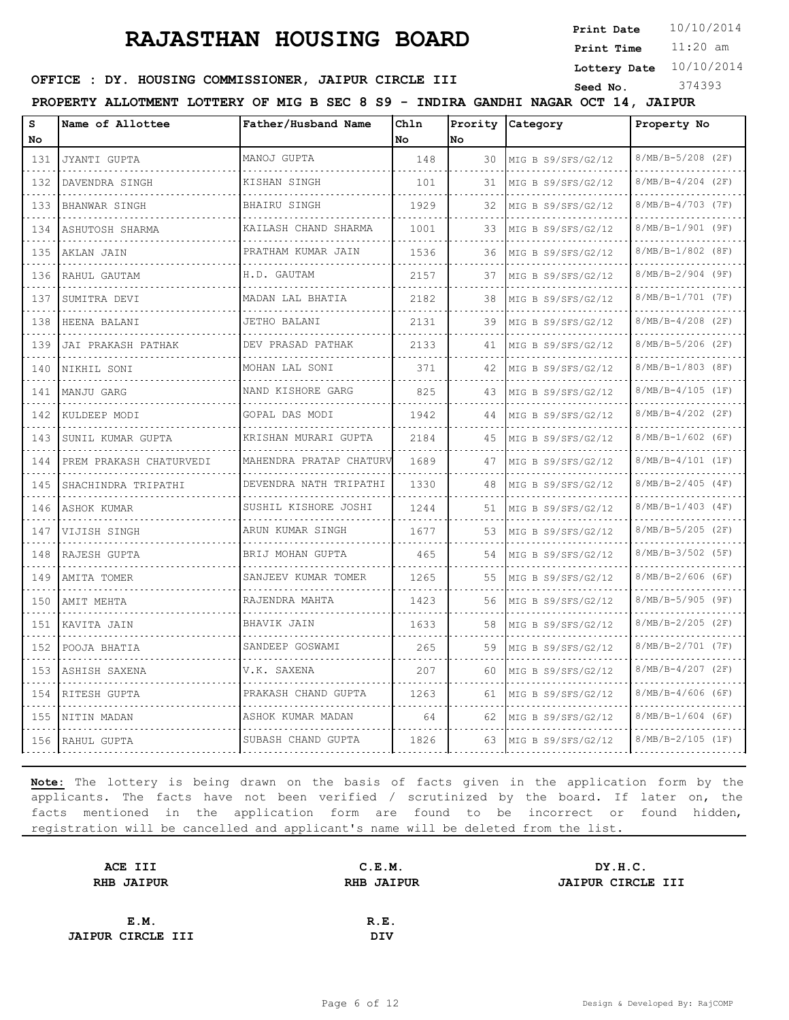**Print Date**  $10/10/2014$ 

11:20 am **Print Time**

**Lottery Date** 10/10/2014

### **OFFICE : DY. HOUSING COMMISSIONER, JAIPUR CIRCLE III** Seed No. 374393

**PROPERTY ALLOTMENT LOTTERY OF MIG B SEC 8 S9 - INDIRA GANDHI NAGAR OCT 14, JAIPUR**

| s<br>No | Name of Allottee         | Father/Husband Name       | Chln<br>No | Nο | Prority Category     | Property No              |
|---------|--------------------------|---------------------------|------------|----|----------------------|--------------------------|
| 131     | JYANTI GUPTA             | MANOJ GUPTA               | 148        | 30 | MIG B S9/SFS/G2/12   | 8/MB/B-5/208 (2F)        |
| 132     | .<br>DAVENDRA SINGH      | .<br>KISHAN SINGH         | 101        | 31 | MIG B S9/SFS/G2/12   | .<br>$8/MB/B-4/204$ (2F) |
| 133     | BHANWAR SINGH            | BHAIRU SINGH              | 1929       | 32 | MIG B S9/SFS/G2/12   | 8/MB/B-4/703 (7F)        |
| 134     | ASHUTOSH SHARMA          | KAILASH CHAND SHARMA      | 1001       | 33 | MIG B S9/SFS/G2/12   | 8/MB/B-1/901 (9F)        |
| 135     | AKLAN JAIN               | PRATHAM KUMAR JAIN        | 1536       | 36 | MIG B S9/SFS/G2/12   | 8/MB/B-1/802 (8F)        |
| 136     | RAHUL GAUTAM             | H.D. GAUTAM               | 2157       | 37 | MIG B S9/SFS/G2/12   | 8/MB/B-2/904 (9F)        |
| 137     | SUMITRA DEVI             | MADAN LAL BHATIA          | 2182       | 38 | MIG B S9/SFS/G2/12   | 8/MB/B-1/701 (7F)        |
| 138     | HEENA BALANI             | <b>JETHO BALANI</b>       | 2131       | 39 | MIG B S9/SFS/G2/12   | 8/MB/B-4/208 (2F)        |
| 139     | JAI PRAKASH PATHAK       | DEV PRASAD PATHAK         | 2133       | 41 | MIG B S9/SFS/G2/12   | 8/MB/B-5/206 (2F)        |
| 140     | NIKHIL SONI              | .<br>MOHAN LAL SONI       | 371        | 42 | MIG B $S9/SFS/G2/12$ | .<br>8/MB/B-1/803 (8F)   |
| 141     | MANJU GARG               | NAND KISHORE GARG         | 825        | 43 | MIG B $S9/SFS/G2/12$ | 8/MB/B-4/105 (1F)        |
| 142     | KULDEEP MODI             | GOPAL DAS MODI            | 1942       | 44 | MIG B S9/SFS/G2/12   | 8/MB/B-4/202 (2F)        |
| 143     | SUNIL KUMAR GUPTA        | KRISHAN MURARI GUPTA      | 2184       | 45 | MIG B S9/SFS/G2/12   | .<br>$8/MB/B-1/602$ (6F) |
| 144     | PREM PRAKASH CHATURVEDI  | MAHENDRA PRATAP CHATURV   | 1689       | 47 | MIG B S9/SFS/G2/12   | 8/MB/B-4/101 (1F)        |
| 145     | .<br>SHACHINDRA TRIPATHI | DEVENDRA NATH TRIPATHI    | 1330       | 48 | MIG B $S9/SFS/G2/12$ | 8/MB/B-2/405 (4F)        |
| 146     | ASHOK KUMAR              | .<br>SUSHIL KISHORE JOSHI | 1244       | 51 | MIG B S9/SFS/G2/12   | .<br>$8/MB/B-1/403$ (4F) |
| 147     | VIJISH SINGH             | ARUN KUMAR SINGH          | 1677       | 53 | MIG B S9/SFS/G2/12   | 8/MB/B-5/205 (2F)        |
| 148     | RAJESH GUPTA             | .<br>BRIJ MOHAN GUPTA     | 465        | 54 | MIG B S9/SFS/G2/12   | 8/MB/B-3/502 (5F)        |
| 149     | AMITA TOMER              | .<br>SANJEEV KUMAR TOMER  | 1265       | 55 | MIG B S9/SFS/G2/12   | $8/MB/B-2/606$ (6F)      |
| 150     | AMIT MEHTA               | RAJENDRA MAHTA            | 1423       | 56 | MIG B S9/SFS/G2/12   | 8/MB/B-5/905 (9F)        |
| 151     | KAVITA JAIN              | BHAVIK JAIN               | 1633       | 58 | MIG B S9/SFS/G2/12   | 8/MB/B-2/205 (2F)        |
| 152     | POOJA BHATIA             | SANDEEP GOSWAMI           | 265        | 59 | MIG B $S9/SFS/G2/12$ | 8/MB/B-2/701 (7F)        |
| 153     | ASHISH SAXENA            | V.K. SAXENA               | 207        | 60 | MIG B S9/SFS/G2/12   | 8/MB/B-4/207 (2F)        |
| 154     | RITESH GUPTA             | PRAKASH CHAND GUPTA       | 1263       | 61 | MIG B S9/SFS/G2/12   | 8/MB/B-4/606 (6F)        |
| 155     | NITIN MADAN              | ASHOK KUMAR MADAN         | 64         | 62 | MIG B $S9/SFS/G2/12$ | $8/MB/B-1/604$ (6F)      |
| 156     | RAHUL GUPTA              | SUBASH CHAND GUPTA        | 1826       | 63 | MIG B S9/SFS/G2/12   | $8/MB/B-2/105 (1F)$      |

| ACE III                  | C.E.M.            | DY.H.C.                  |
|--------------------------|-------------------|--------------------------|
| <b>RHB JAIPUR</b>        | <b>RHB JAIPUR</b> | <b>JAIPUR CIRCLE III</b> |
|                          |                   |                          |
| E.M.                     | R.E.              |                          |
| <b>JAIPUR CIRCLE III</b> | <b>DIV</b>        |                          |
|                          |                   |                          |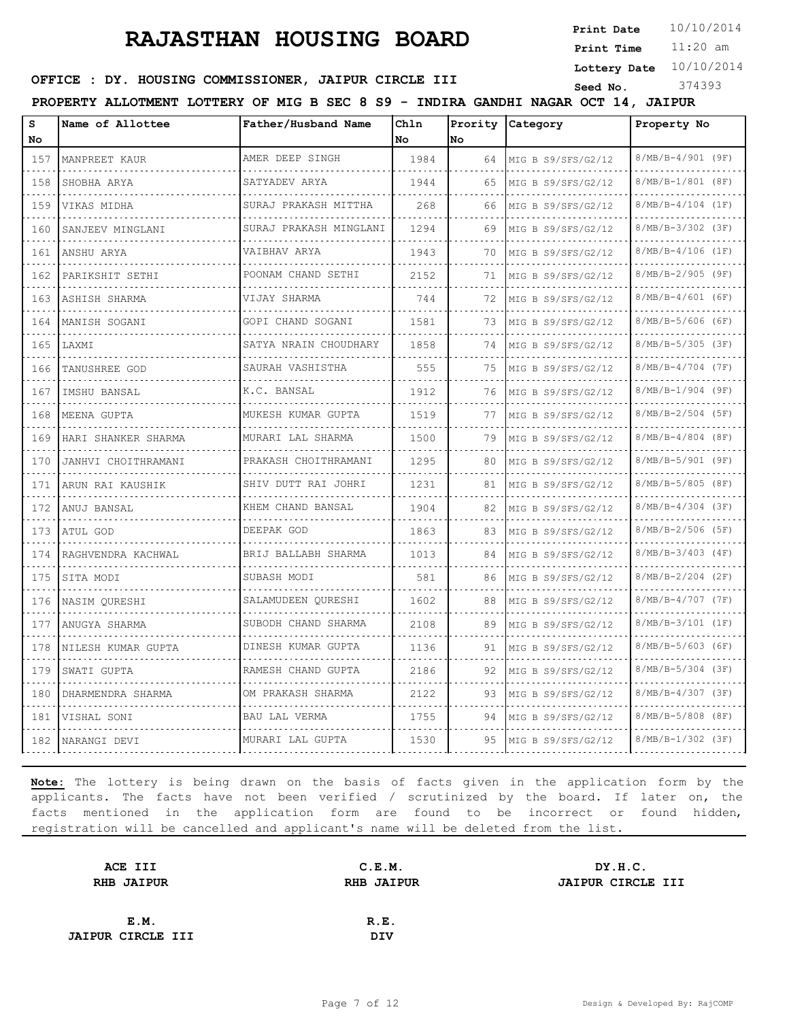**Print Date**  $10/10/2014$ 

11:20 am **Print Time**

**Lottery Date** 10/10/2014

#### **OFFICE : DY. HOUSING COMMISSIONER, JAIPUR CIRCLE III** Seed No. 374393

**PROPERTY ALLOTMENT LOTTERY OF MIG B SEC 8 S9 - INDIRA GANDHI NAGAR OCT 14, JAIPUR**

| s<br>No  | Name of Allottee    | Father/Husband Name         | Chln<br>No. | No | Prority Category     | Property No              |
|----------|---------------------|-----------------------------|-------------|----|----------------------|--------------------------|
| 157      | MANPREET KAUR       | AMER DEEP SINGH             | 1984        | 64 | MIG B S9/SFS/G2/12   | $8/MB/B-4/901$ (9F)      |
| .<br>158 | SHOBHA ARYA         | SATYADEV ARYA               | 1944        | 65 | MIG B S9/SFS/G2/12   | 8/MB/B-1/801 (8F)        |
| 159      | VIKAS MIDHA         | SURAJ PRAKASH MITTHA        | 268         | 66 | MIG B S9/SFS/G2/12   | $8/MB/B-4/104$ (1F)      |
| 160      | SANJEEV MINGLANI    | .<br>SURAJ PRAKASH MINGLANI | 1294        | 69 | MIG B S9/SFS/G2/12   | $8/MB/B-3/302$ (3F)      |
| .<br>161 | ANSHU ARYA          | VAIBHAV ARYA                | 1943        | 70 | MIG B S9/SFS/G2/12   | $8/MB/B-4/106$ (1F)      |
| 162      | PARIKSHIT SETHI     | POONAM CHAND SETHI          | 2152        | 71 | MIG B $S9/SFS/G2/12$ | 8/MB/B-2/905 (9F)        |
| 163      | ASHISH SHARMA       | .<br>VIJAY SHARMA           | 744         | 72 | MIG B S9/SFS/G2/12   | .<br>$8/MB/B-4/601$ (6F) |
| .<br>164 | MANISH SOGANI       | GOPI CHAND SOGANI           | 1581        | 73 | MIG B S9/SFS/G2/12   | $8/MB/B-5/606$ (6F)      |
| 165      | LAXMI               | SATYA NRAIN CHOUDHARY       | 1858        | 74 | MIG B S9/SFS/G2/12   | $8/MB/B-5/305$ (3F)      |
| 166      | TANUSHREE GOD       | .<br>SAURAH VASHISTHA       | 555         | 75 | MIG B S9/SFS/G2/12   | $8/MB/B-4/704$ (7F)      |
| .<br>167 | IMSHU BANSAL        | K.C. BANSAL                 | 1912        | 76 | MIG B S9/SFS/G2/12   | 8/MB/B-1/904 (9F)        |
| 168      | MEENA GUPTA         | MUKESH KUMAR GUPTA          | 1519        | 77 | MIG B S9/SFS/G2/12   | $8/MB/B-2/504$ (5F)      |
| 169      | HARI SHANKER SHARMA | MURARI LAL SHARMA           | 1500        | 79 | MIG B S9/SFS/G2/12   | .<br>$8/MB/B-4/804$ (8F) |
| .<br>170 | JANHVI CHOITHRAMANI | PRAKASH CHOITHRAMANI        | 1295        | 80 | MIG B S9/SFS/G2/12   | 8/MB/B-5/901 (9F)        |
| 171      | ARUN RAI KAUSHIK    | SHIV DUTT RAI JOHRI         | 1231        | 81 | MIG B S9/SFS/G2/12   | 8/MB/B-5/805 (8F)        |
| 172      | ANUJ BANSAL         | .<br>KHEM CHAND BANSAL      | 1904        | 82 | MIG B S9/SFS/G2/12   | .<br>$8/MB/B-4/304$ (3F) |
| .<br>173 | ATUL GOD            | DEEPAK GOD                  | 1863        | 83 | MIG B S9/SFS/G2/12   | $8/MB/B-2/506$ (5F)      |
| 174      | RAGHVENDRA KACHWAL  | BRIJ BALLABH SHARMA         | 1013        | 84 | MIG B S9/SFS/G2/12   | $8/MB/B-3/403$ (4F)      |
| 175      | SITA MODI           | SUBASH MODI                 | 581         | 86 | MIG B S9/SFS/G2/12   | $8/MB/B-2/204$ (2F)      |
| .<br>176 | NASIM OURESHI       | SALAMUDEEN QURESHI          | 1602        | 88 | MIG B S9/SFS/G2/12   | $8/MB/B-4/707$ (7F)      |
| 177      | ANUGYA SHARMA       | SUBODH CHAND SHARMA         | 2108        | 89 | MIG B S9/SFS/G2/12   | 8/MB/B-3/101 (1F)        |
| 178      | NILESH KUMAR GUPTA  | .<br>DINESH KUMAR GUPTA     | 1136        | 91 | MIG B S9/SFS/G2/12   | $8/MB/B-5/603$ (6F)      |
| .<br>179 | SWATI GUPTA         | RAMESH CHAND GUPTA          | 2186        | 92 | MIG B S9/SFS/G2/12   | 8/MB/B-5/304 (3F)        |
| 180      | DHARMENDRA SHARMA   | OM PRAKASH SHARMA           | 2122        | 93 | MIG B S9/SFS/G2/12   | $8/MB/B-4/307$ (3F)      |
| 181      | VISHAL SONI         | .<br>BAU LAL VERMA          | 1755        | 94 | MIG B S9/SFS/G2/12   | $8/MB/B-5/808$ (8F)      |
| .<br>182 | NARANGI DEVI        | MURARI LAL GUPTA            | 1530        | 95 | MIG B S9/SFS/G2/12   | $8/MB/B-1/302$ (3F)      |

| ACE III                  | C.E.M.     | DY.H.C.           |
|--------------------------|------------|-------------------|
| <b>RHB JAIPUR</b>        | RHB JAIPUR | JAIPUR CIRCLE III |
|                          |            |                   |
| E.M.                     | R.E.       |                   |
| <b>JAIPUR CIRCLE III</b> | <b>DIV</b> |                   |
|                          |            |                   |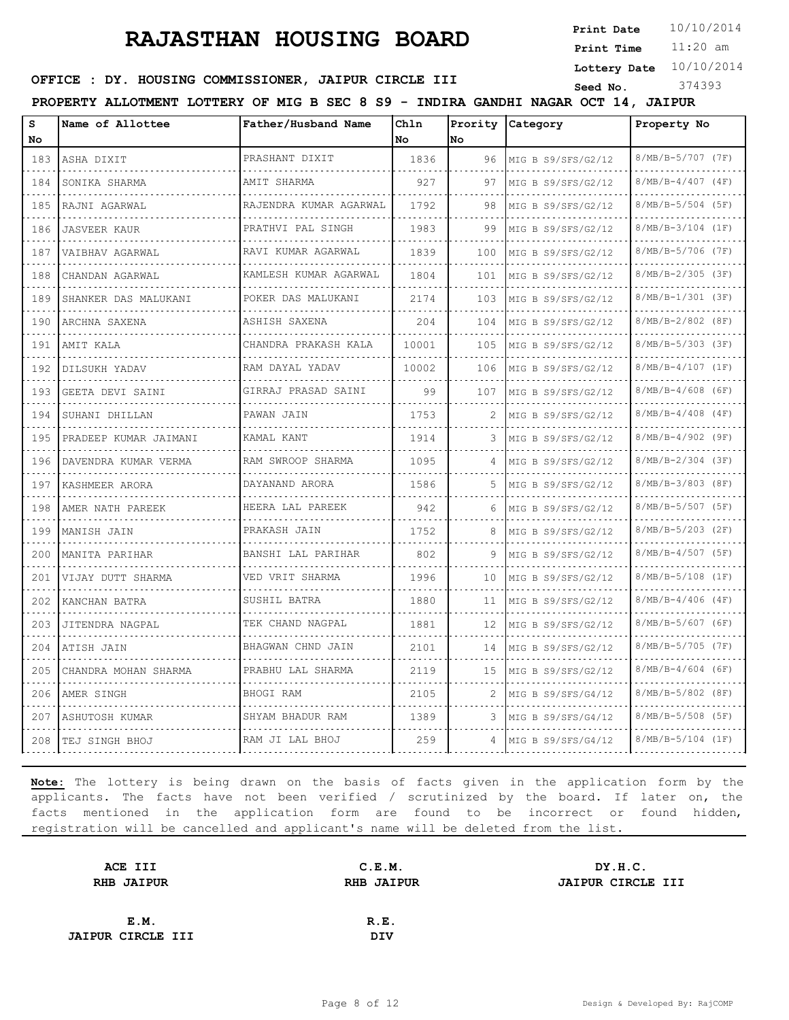**Print Date**  $10/10/2014$ 

11:20 am **Print Time**

**Lottery Date** 10/10/2014

#### **OFFICE : DY. HOUSING COMMISSIONER, JAIPUR CIRCLE III** Seed No. 374393

**PROPERTY ALLOTMENT LOTTERY OF MIG B SEC 8 S9 - INDIRA GANDHI NAGAR OCT 14, JAIPUR**

| s<br>No | Name of Allottee          | Father/Husband Name     | Ch1n<br>No | No  | Prority Category     | Property No              |
|---------|---------------------------|-------------------------|------------|-----|----------------------|--------------------------|
| 183     | ASHA DIXIT                | PRASHANT DIXIT          | 1836       | 96  | MIG B S9/SFS/G2/12   | 8/MB/B-5/707 (7F)        |
| 184     | SONIKA SHARMA             | AMIT SHARMA             | 927        | 97  | MIG B S9/SFS/G2/12   | $8/MB/B-4/407$ (4F)      |
| 185     | RAJNI AGARWAL             | RAJENDRA KUMAR AGARWAL  | 1792       | 98  | MIG B S9/SFS/G2/12   | 8/MB/B-5/504 (5F)        |
| 186     | <b>JASVEER KAUR</b>       | .<br>PRATHVI PAL SINGH  | 1983       | 99  | MIG B S9/SFS/G2/12   | $8/MB/B-3/104$ (1F)      |
| 187     | VAIBHAV AGARWAL           | RAVI KUMAR AGARWAL      | 1839       | 100 | MIG B $S9/SFS/G2/12$ | 8/MB/B-5/706 (7F)        |
| 188     | CHANDAN AGARWAL           | KAMLESH KUMAR AGARWAL   | 1804       | 101 | MIG B $S9/SFS/G2/12$ | 8/MB/B-2/305 (3F)        |
| 189     | .<br>SHANKER DAS MALUKANI | .<br>POKER DAS MALUKANI | 2174       | 103 | MIG B S9/SFS/G2/12   | .<br>8/MB/B-1/301 (3F)   |
| 190     | ARCHNA SAXENA             | ASHISH SAXENA           | 204        | 104 | MIG B $S9/SFS/G2/12$ | 8/MB/B-2/802 (8F)        |
| 191     | AMIT KALA                 | CHANDRA PRAKASH KALA    | 10001      | 105 | MIG B $S9/SFS/G2/12$ | 8/MB/B-5/303 (3F)        |
| 192     | DILSUKH YADAV             | .<br>RAM DAYAL YADAV    | 10002      | 106 | MIG B $S9/SFS/G2/12$ | .<br>8/MB/B-4/107 (1F)   |
| 193     | GEETA DEVI SAINI          | GIRRAJ PRASAD SAINI     | 99         | 107 | MIG B S9/SFS/G2/12   | $8/MB/B-4/608$ (6F)      |
| 194     | SUHANI DHILLAN            | PAWAN JAIN              | 1753       | 2   | MIG B S9/SFS/G2/12   | 8/MB/B-4/408 (4F)        |
| 195     | PRADEEP KUMAR JAIMANI     | KAMAL KANT              | 1914       | 3   | MIG B S9/SFS/G2/12   | .<br>$8/MB/B-4/902$ (9F) |
| 196     | DAVENDRA KUMAR VERMA      | RAM SWROOP SHARMA       | 1095       |     | MIG B S9/SFS/G2/12   | 8/MB/B-2/304 (3F)        |
| 197     | KASHMEER ARORA            | DAYANAND ARORA<br>.     | 1586       | 5   | MIG B S9/SFS/G2/12   | 8/MB/B-3/803 (8F)        |
| 198     | AMER NATH PAREEK          | HEERA LAL PAREEK        | 942        | 6   | MIG B S9/SFS/G2/12   | $8/MB/B-5/507$ (5F)      |
| 199     | MANISH JAIN               | PRAKASH JAIN            | 1752       | 8   | MIG B S9/SFS/G2/12   | $8/MB/B-5/203$ (2F)      |
| 200     | MANITA PARIHAR            | BANSHI LAL PARIHAR<br>. | 802        | 9   | MIG B $S9/SFS/G2/12$ | 8/MB/B-4/507 (5F)        |
| 201     | VIJAY DUTT SHARMA         | VED VRIT SHARMA         | 1996       | 10  | MIG B S9/SFS/G2/12   | 8/MB/B-5/108 (1F)        |
| 202     | KANCHAN BATRA             | SUSHIL BATRA            | 1880       | 11  | MIG B S9/SFS/G2/12   | $8/MB/B-4/406$ (4F)      |
| 203     | JITENDRA NAGPAL           | TEK CHAND NAGPAL<br>.   | 1881       | 12  | MIG B S9/SFS/G2/12   | 8/MB/B-5/607 (6F)        |
| 204     | ATISH JAIN                | BHAGWAN CHND JAIN       | 2101       | 14  | MIG B S9/SFS/G2/12   | 8/MB/B-5/705 (7F)        |
| 205     | CHANDRA MOHAN SHARMA      | PRABHU LAL SHARMA       | 2119       | 15  | MIG B S9/SFS/G2/12   | $8/MB/B-4/604$ (6F)      |
| 206     | AMER SINGH                | BHOGI RAM               | 2105       | 2   | MIG B S9/SFS/G4/12   | 8/MB/B-5/802 (8F)        |
| 207     | ASHUTOSH KUMAR            | SHYAM BHADUR RAM        | 1389       | 3   | MIG B S9/SFS/G4/12   | $8/MB/B-5/508$ (5F)      |
| 208     | TEJ SINGH BHOJ            | RAM JI LAL BHOJ         | 259        | 4   | MIG B $S9/SFS/G4/12$ | $8/MB/B-5/104$ (1F)      |

| ACE III                  | C.E.M.            | DY.H.C.                  |
|--------------------------|-------------------|--------------------------|
| <b>RHB JAIPUR</b>        | <b>RHB JAIPUR</b> | <b>JAIPUR CIRCLE III</b> |
|                          |                   |                          |
| E.M.                     | R.E.              |                          |
| <b>JAIPUR CIRCLE III</b> | DIV               |                          |
|                          |                   |                          |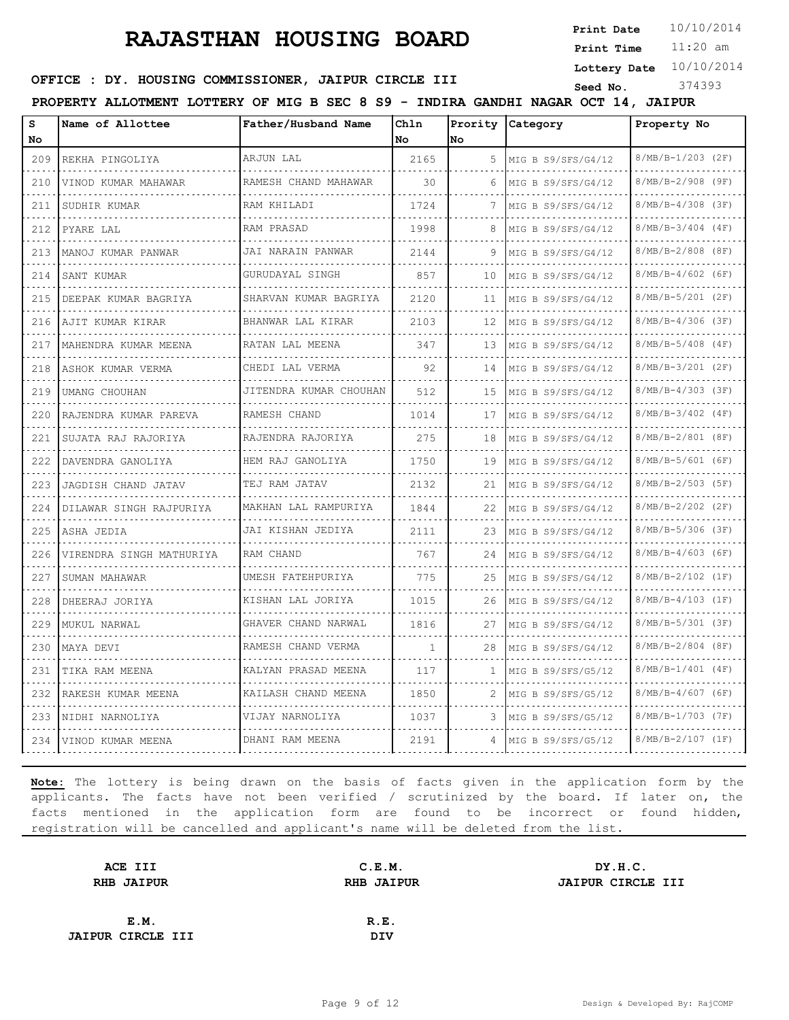**Print Date**  $10/10/2014$ 

11:20 am **Print Time**

**Lottery Date** 10/10/2014

### **OFFICE : DY. HOUSING COMMISSIONER, JAIPUR CIRCLE III** Seed No. 374393

**PROPERTY ALLOTMENT LOTTERY OF MIG B SEC 8 S9 - INDIRA GANDHI NAGAR OCT 14, JAIPUR**

| s<br>No                     | Name of Allottee           | Father/Husband Name      | Chln<br>No   | lNo. | Prority Category     | Property No              |
|-----------------------------|----------------------------|--------------------------|--------------|------|----------------------|--------------------------|
| 209                         | REKHA PINGOLIYA            | ARJUN LAL                | 2165         | 5    | MIG B S9/SFS/G4/12   | 8/MB/B-1/203 (2F)        |
| .<br>210                    | .<br>VINOD KUMAR MAHAWAR   | RAMESH CHAND MAHAWAR     | 30           | 6    | MIG B S9/SFS/G4/12   | .<br>$8/MB/B-2/908$ (9F) |
| 211                         | SUDHIR KUMAR               | RAM KHILADI              | 1724         | 7    | MIG B S9/SFS/G4/12   | $8/MB/B-4/308$ (3F)      |
| 212                         | PYARE LAL                  | RAM PRASAD               | 1998         | 8    | MIG B S9/SFS/G4/12   | $8/MB/B-3/404$ (4F)      |
| .<br>213                    | MANOJ KUMAR PANWAR         | JAI NARAIN PANWAR        | 2144         | 9    | MIG B S9/SFS/G4/12   | $8/MB/B-2/808$ (8F)      |
| 214                         | SANT KUMAR                 | GURUDAYAL SINGH          | 857          | 10   | MIG B S9/SFS/G4/12   | $8/MB/B-4/602$ (6F)      |
| 215                         | DEEPAK KUMAR BAGRIYA       | SHARVAN KUMAR BAGRIYA    | 2120         | 11   | MIG B $S9/SFS/G4/12$ | 8/MB/B-5/201 (2F)        |
| 216                         | AJIT KUMAR KIRAR<br>.      | BHANWAR LAL KIRAR<br>.   | 2103         | 12   | MIG B S9/SFS/G4/12   | $8/MB/B-4/306$ (3F)      |
| 217                         | MAHENDRA KUMAR MEENA       | RATAN LAL MEENA          | 347          | 13   | MIG B S9/SFS/G4/12   | $8/MB/B-5/408$ (4F)      |
| 218                         | ASHOK KUMAR VERMA          | CHEDI LAL VERMA          | 92           | 14   | MIG B S9/SFS/G4/12   | $8/MB/B-3/201$ (2F)      |
| $\sim$ $\sim$ $\sim$<br>219 | UMANG CHOUHAN              | JITENDRA KUMAR CHOUHAN   | 512          | 15   | MIG B S9/SFS/G4/12   | $8/MB/B-4/303$ (3F)      |
| 220                         | RAJENDRA KUMAR PAREVA<br>. | RAMESH CHAND             | 1014         | 17   | MIG B S9/SFS/G4/12   | $8/MB/B-3/402$ (4F)      |
| 221<br>.                    | SUJATA RAJ RAJORIYA        | RAJENDRA RAJORIYA        | 275          | 18   | MIG B S9/SFS/G4/12   | $8/MB/B-2/801$ (8F)      |
| 222                         | DAVENDRA GANOLIYA          | HEM RAJ GANOLIYA         | 1750         | 19   | MIG B S9/SFS/G4/12   | 8/MB/B-5/601 (6F)        |
| 223                         | JAGDISH CHAND JATAV        | TEJ RAM JATAV            | 2132         | 21   | MIG B S9/SFS/G4/12   | $8/MB/B-2/503$ (5F)      |
| 224                         | DILAWAR SINGH RAJPURIYA    | MAKHAN LAL RAMPURIYA     | 1844         | 22   | MIG B S9/SFS/G4/12   | $8/MB/B-2/202$ (2F)      |
| 225                         | ASHA JEDIA                 | JAI KISHAN JEDIYA        | 2111         | 23   | MIG B S9/SFS/G4/12   | $8/MB/B-5/306$ (3F)      |
| 226                         | VIRENDRA SINGH MATHURIYA   | RAM CHAND                | 767          | 24   | MIG B $S9/SFS/G4/12$ | $8/MB/B-4/603$ (6F)      |
| 227                         | SUMAN MAHAWAR              | UMESH FATEHPURIYA        | 775          | 25   | MIG B S9/SFS/G4/12   | $8/MB/B-2/102$ (1F)      |
| 228<br>$  -$                | DHEERAJ JORIYA             | KISHAN LAL JORIYA        | 1015         | 26   | MIG B S9/SFS/G4/12   | $8/MB/B-4/103$ (1F)      |
| 229                         | MUKUL NARWAL               | GHAVER CHAND NARWAL<br>. | 1816         | 27   | MIG B S9/SFS/G4/12   | 8/MB/B-5/301 (3F)        |
| 230                         | MAYA DEVI                  | RAMESH CHAND VERMA       | $\mathbf{1}$ | 28   | MIG B S9/SFS/G4/12   | $8/MB/B-2/804$ (8F)      |
| 231                         | TIKA RAM MEENA             | KALYAN PRASAD MEENA      | 117          | -1.  | MIG B S9/SFS/G5/12   | $8/MB/B-1/401$ (4F)      |
| 232                         | RAKESH KUMAR MEENA         | KAILASH CHAND MEENA      | 1850         | 2    | MIG B S9/SFS/G5/12   | $8/MB/B-4/607$ (6F)      |
| 233                         | NIDHI NARNOLIYA            | VIJAY NARNOLIYA          | 1037         | 3    | MIG B S9/SFS/G5/12   | $8/MB/B-1/703$ (7F)      |
| 234                         | VINOD KUMAR MEENA          | DHANI RAM MEENA          | 2191         | 4    | MIG B S9/SFS/G5/12   | $8/MB/B-2/107 (1F)$      |

| ACE III                  | C.E.M.            | DY.H.C.           |
|--------------------------|-------------------|-------------------|
| <b>RHB JAIPUR</b>        | <b>RHB JAIPUR</b> | JAIPUR CIRCLE III |
|                          |                   |                   |
| E.M.                     | R.E.              |                   |
| <b>JAIPUR CIRCLE III</b> | <b>DIV</b>        |                   |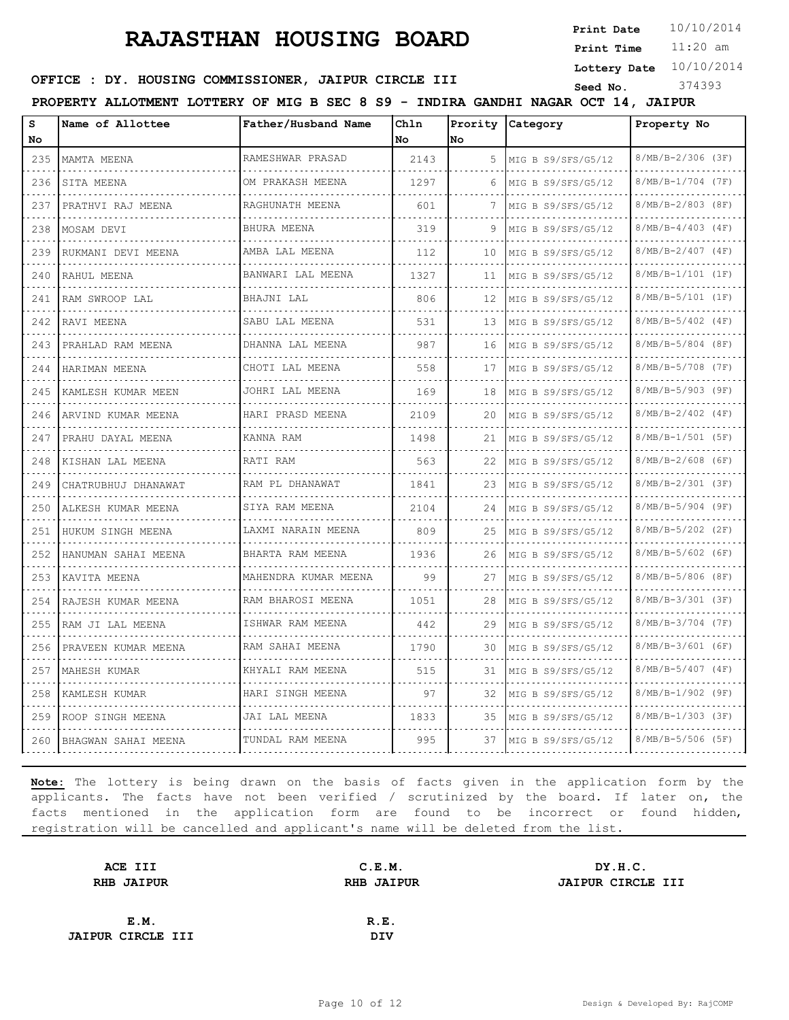**Print Date**  $10/10/2014$ 

11:20 am **Print Time**

**Lottery Date** 10/10/2014

### **OFFICE : DY. HOUSING COMMISSIONER, JAIPUR CIRCLE III** Seed No. 374393

**PROPERTY ALLOTMENT LOTTERY OF MIG B SEC 8 S9 - INDIRA GANDHI NAGAR OCT 14, JAIPUR**

| s<br>No                     | Name of Allottee    | Father/Husband Name     | Chln<br>No | lNo | Prority Category   | Property No                     |
|-----------------------------|---------------------|-------------------------|------------|-----|--------------------|---------------------------------|
| 235                         | MAMTA MEENA         | RAMESHWAR PRASAD        | 2143       | 5   | MIG B S9/SFS/G5/12 | $8/MB/B-2/306$ (3F)             |
| .<br>236                    | SITA MEENA          | .<br>OM PRAKASH MEENA   | 1297       | 6   | MIG B S9/SFS/G5/12 | .<br>8/MB/B-1/704 (7F)          |
| 237                         | PRATHVI RAJ MEENA   | RAGHUNATH MEENA         | 601        | 7   | MIG B S9/SFS/G5/12 | 8/MB/B-2/803 (8F)               |
| 238                         | MOSAM DEVI          | BHURA MEENA<br>.        | 319        | 9   | MIG B S9/SFS/G5/12 | $8/MB/B-4/403$ (4F)             |
| .<br>239                    | RUKMANI DEVI MEENA  | AMBA LAL MEENA          | 112        | 10  | MIG B S9/SFS/G5/12 | $8/MB/B-2/407$ (4F)             |
| 240                         | RAHUL MEENA         | BANWARI LAL MEENA       | 1327       | 11  | MIG B S9/SFS/G5/12 | 8/MB/B-1/101 (1F)               |
| 241                         | RAM SWROOP LAL      | BHAJNI LAL              | 806        | 12  | MIG B S9/SFS/G5/12 | 8/MB/B-5/101 (1F)               |
| .<br>242                    | RAVI MEENA          | SABU LAL MEENA          | 531        | 13  | MIG B S9/SFS/G5/12 | $8/MB/B-5/402$ (4F)             |
| 243                         | PRAHLAD RAM MEENA   | DHANNA LAL MEENA<br>.   | 987        | 16  | MIG B S9/SFS/G5/12 | $8/MB/B-5/804$ (8F)             |
| 244                         | HARIMAN MEENA       | CHOTI LAL MEENA         | 558        | 17  | MIG B S9/SFS/G5/12 | $8/MB/B-5/708$ (7F)             |
| 245                         | KAMLESH KUMAR MEEN  | JOHRI LAL MEENA         | 169        | 18  | MIG B S9/SFS/G5/12 | 8/MB/B-5/903 (9F)               |
| $\sim$ $\sim$ $\sim$<br>246 | ARVIND KUMAR MEENA  | HARI PRASD MEENA        | 2109       | 20  | MIG B S9/SFS/G5/12 | $8/MB/B-2/402$ (4F)             |
| $  -$<br>247                | PRAHU DAYAL MEENA   | KANNA RAM               | 1498       | 21  | MIG B S9/SFS/G5/12 | $8/MB/B-1/501$ (5F)             |
| 248                         | KISHAN LAL MEENA    | RATI RAM                | 563        | 22  | MIG B S9/SFS/G5/12 | $8/MB/B-2/608$ (6F)             |
| 249                         | CHATRUBHUJ DHANAWAT | RAM PL DHANAWAT<br>.    | 1841       | 23  | MIG B S9/SFS/G5/12 | $8/MB/B-2/301$ (3F)<br>.        |
| 250                         | ALKESH KUMAR MEENA  | SIYA RAM MEENA          | 2104       | 24  | MIG B S9/SFS/G5/12 | $8/MB/B-5/904$ (9F)             |
| 251                         | HUKUM SINGH MEENA   | LAXMI NARAIN MEENA<br>. | 809        | 25  | MIG B S9/SFS/G5/12 | 8/MB/B-5/202 (2F)               |
| 252                         | HANUMAN SAHAI MEENA | BHARTA RAM MEENA<br>.   | 1936       | 26  | MIG B S9/SFS/G5/12 | $8/MB/B-5/602$ (6F)             |
| 253                         | KAVITA MEENA        | MAHENDRA KUMAR MEENA    | 99         | 27  | MIG B S9/SFS/G5/12 | $8/MB/B-5/806$ (8F)             |
| 254                         | RAJESH KUMAR MEENA  | RAM BHAROSI MEENA       | 1051       | 28  | MIG B S9/SFS/G5/12 | 8/MB/B-3/301 (3F)               |
| 255                         | RAM JI LAL MEENA    | ISHWAR RAM MEENA        | 442        | 29  | MIG B S9/SFS/G5/12 | $8/MB/B-3/704$ (7F)<br><u>.</u> |
| 256                         | PRAVEEN KUMAR MEENA | RAM SAHAI MEENA         | 1790       | 30  | MIG B S9/SFS/G5/12 | $8/MB/B-3/601$ (6F)             |
| 257                         | MAHESH KUMAR        | KHYALI RAM MEENA        | 515        | 31  | MIG B S9/SFS/G5/12 | $8/MB/B-5/407$ (4F)             |
| 258                         | KAMLESH KUMAR       | HARI SINGH MEENA        | 97         | 32  | MIG B S9/SFS/G5/12 | 8/MB/B-1/902 (9F)               |
| 259                         | ROOP SINGH MEENA    | JAI LAL MEENA           | 1833       | 35  | MIG B S9/SFS/G5/12 | $8/MB/B-1/303$ (3F)             |
| 260                         | BHAGWAN SAHAI MEENA | TUNDAL RAM MEENA        | 995        | 37  | MIG B S9/SFS/G5/12 | $8/MB/B-5/506$ (5F)             |

| ACE III                  | C.E.M.            | DY.H.C.                  |
|--------------------------|-------------------|--------------------------|
| <b>RHB JAIPUR</b>        | <b>RHB JAIPUR</b> | <b>JAIPUR CIRCLE III</b> |
|                          |                   |                          |
| E.M.                     | R.E.              |                          |
| <b>JAIPUR CIRCLE III</b> | <b>DIV</b>        |                          |
|                          |                   |                          |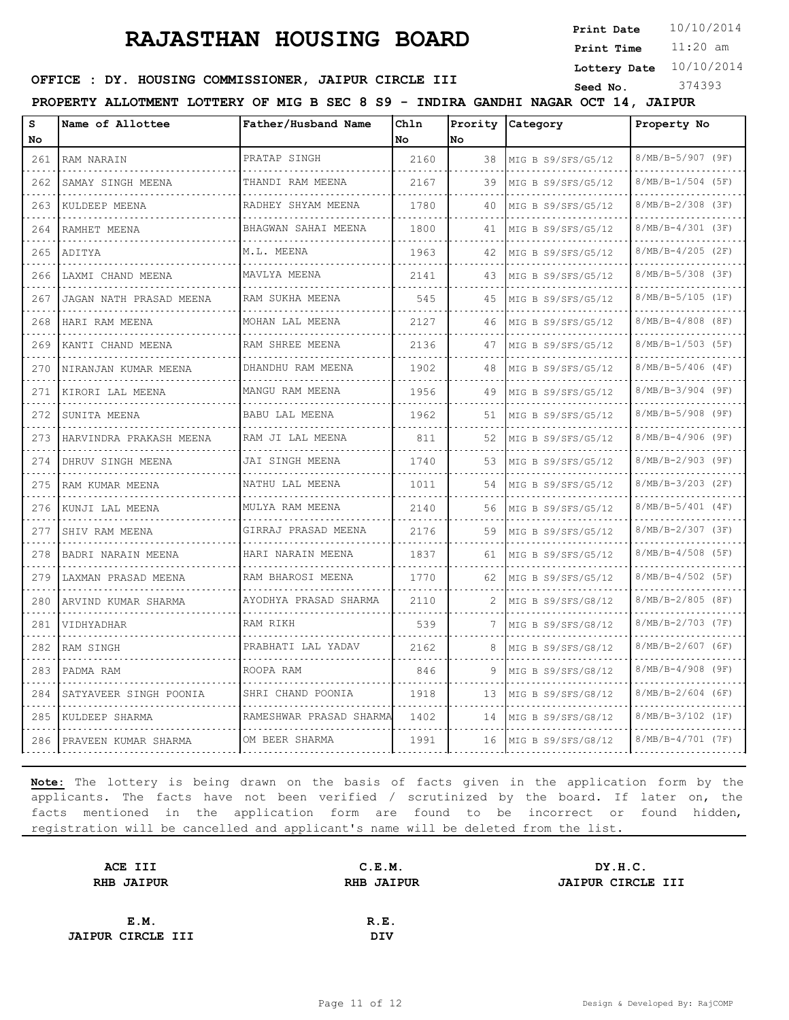**Print Date**  $10/10/2014$ 

11:20 am **Print Time**

**Lottery Date** 10/10/2014

# **OFFICE : DY. HOUSING COMMISSIONER, JAIPUR CIRCLE III** Seed No. 374393

**PROPERTY ALLOTMENT LOTTERY OF MIG B SEC 8 S9 - INDIRA GANDHI NAGAR OCT 14, JAIPUR**

| s   | Name of Allottee        | Father/Husband Name         | Chln |    | Prority Category   | Property No            |
|-----|-------------------------|-----------------------------|------|----|--------------------|------------------------|
| No  |                         |                             | No   | No |                    |                        |
| 261 | RAM NARAIN              | PRATAP SINGH<br>.           | 2160 | 38 | MIG B S9/SFS/G5/12 | 8/MB/B-5/907 (9F)      |
| 262 | SAMAY SINGH MEENA       | THANDI RAM MEENA            | 2167 | 39 | MIG B S9/SFS/G5/12 | 8/MB/B-1/504 (5F)      |
| 263 | KULDEEP MEENA           | RADHEY SHYAM MEENA          | 1780 | 40 | MIG B S9/SFS/G5/12 | 8/MB/B-2/308 (3F)      |
| 264 | RAMHET MEENA            | BHAGWAN SAHAI MEENA<br>.    | 1800 | 41 | MIG B S9/SFS/G5/12 | 8/MB/B-4/301 (3F)      |
| 265 | ADITYA                  | M.L. MEENA                  | 1963 | 42 | MIG B S9/SFS/G5/12 | $8/MB/B-4/205$ (2F)    |
| 266 | LAXMI CHAND MEENA       | MAVLYA MEENA<br>.           | 2141 | 43 | MIG B S9/SFS/G5/12 | 8/MB/B-5/308 (3F)      |
| 267 | JAGAN NATH PRASAD MEENA | RAM SUKHA MEENA             | 545  | 45 | MIG B S9/SFS/G5/12 | 8/MB/B-5/105 (1F)      |
| 268 | HARI RAM MEENA          | MOHAN LAL MEENA             | 2127 | 46 | MIG B S9/SFS/G5/12 | $8/MB/B-4/808$ (8F)    |
| 269 | KANTI CHAND MEENA       | RAM SHREE MEENA<br>.        | 2136 | 47 | MIG B S9/SFS/G5/12 | 8/MB/B-1/503 (5F)      |
| 270 | NIRANJAN KUMAR MEENA    | DHANDHU RAM MEENA<br>.      | 1902 | 48 | MIG B S9/SFS/G5/12 | 8/MB/B-5/406 (4F)      |
| 271 | KIRORI LAL MEENA        | MANGU RAM MEENA             | 1956 | 49 | MIG B S9/SFS/G5/12 | $8/MB/B-3/904$ (9F)    |
| 272 | SUNITA MEENA            | BABU LAL MEENA<br>.         | 1962 | 51 | MIG B S9/SFS/G5/12 | 8/MB/B-5/908 (9F)      |
| 273 | HARVINDRA PRAKASH MEENA | RAM JI LAL MEENA<br>.       | 811  | 52 | MIG B S9/SFS/G5/12 | .<br>8/MB/B-4/906 (9F) |
| 274 | DHRUV SINGH MEENA       | JAI SINGH MEENA             | 1740 | 53 | MIG B S9/SFS/G5/12 | $8/MB/B-2/903$ (9F)    |
| 275 | RAM KUMAR MEENA         | NATHU LAL MEENA<br><u>.</u> | 1011 | 54 | MIG B S9/SFS/G5/12 | 8/MB/B-3/203 (2F)      |
| 276 | .<br>KUNJI LAL MEENA    | MULYA RAM MEENA<br>.        | 2140 | 56 | MIG B S9/SFS/G5/12 | $8/MB/B-5/401$ (4F)    |
| 277 | SHIV RAM MEENA          | GIRRAJ PRASAD MEENA         | 2176 | 59 | MIG B S9/SFS/G5/12 | $8/MB/B-2/307$ (3F)    |
| 278 | BADRI NARAIN MEENA      | HARI NARAIN MEENA           | 1837 | 61 | MIG B S9/SFS/G5/12 | $8/MB/B-4/508$ (5F)    |
| 279 | LAXMAN PRASAD MEENA     | RAM BHAROSI MEENA           | 1770 | 62 | MIG B S9/SFS/G5/12 | $8/MB/B-4/502$ (5F)    |
| 280 | ARVIND KUMAR SHARMA     | AYODHYA PRASAD SHARMA       | 2110 | 2  | MIG B S9/SFS/G8/12 | 8/MB/B-2/805 (8F)      |
| 281 | VIDHYADHAR              | RAM RIKH                    | 539  | 7  | MIG B S9/SFS/G8/12 | 8/MB/B-2/703 (7F)      |
| 282 | RAM SINGH               | PRABHATI LAL YADAV          | 2162 | 8  | MIG B S9/SFS/G8/12 | $8/MB/B-2/607$ (6F)    |
| 283 | PADMA RAM               | ROOPA RAM                   | 846  | 9  | MIG B S9/SFS/G8/12 | 8/MB/B-4/908 (9F)      |
| 284 | SATYAVEER SINGH POONIA  | SHRI CHAND POONIA           | 1918 | 13 | MIG B S9/SFS/G8/12 | 8/MB/B-2/604 (6F)      |
| 285 | KULDEEP SHARMA          | RAMESHWAR PRASAD SHARMA     | 1402 | 14 | MIG B S9/SFS/G8/12 | 8/MB/B-3/102 (1F)      |
| 286 | PRAVEEN KUMAR SHARMA    | OM BEER SHARMA              | 1991 | 16 | MIG B S9/SFS/G8/12 | $8/MB/B-4/701$ (7F)    |

| ACE III                  | C.E.M.            | DY.H.C.                  |
|--------------------------|-------------------|--------------------------|
| <b>RHB JAIPUR</b>        | <b>RHB JAIPUR</b> | <b>JAIPUR CIRCLE III</b> |
|                          |                   |                          |
| E.M.                     | R.E.              |                          |
| <b>JAIPUR CIRCLE III</b> | <b>DIV</b>        |                          |
|                          |                   |                          |